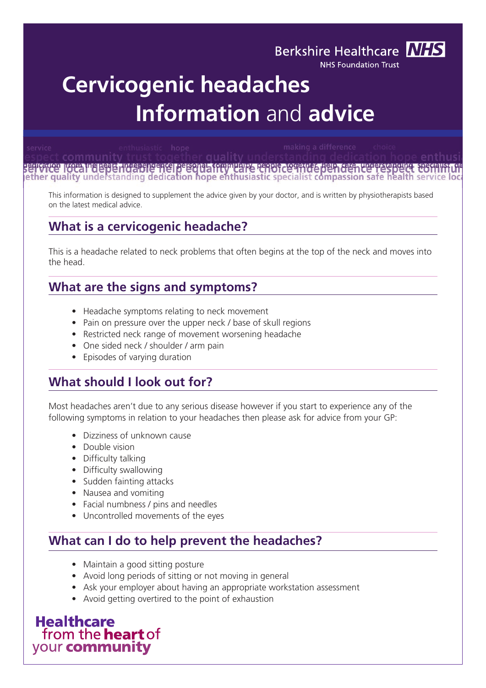# **Cervicogenic headaches Information** and **advice**

quality t community serventor from included interested between the community report to the beh den the respect to<br>lether quality understanding dedication hope enthusiastic specialist compassion safe health serve

**Berkshire Healthcare NHS NHS Foundation Trust** 

This information is designed to supplement the advice given by your doctor, and is written by physiotherapists based on the latest medical advice.

# **What is a cervicogenic headache?**

This is a headache related to neck problems that often begins at the top of the neck and moves into the head.

# **What are the signs and symptoms?**

- Headache symptoms relating to neck movement
- Pain on pressure over the upper neck / base of skull regions
- Restricted neck range of movement worsening headache
- One sided neck / shoulder / arm pain
- Episodes of varying duration

#### **What should I look out for?**

Most headaches aren't due to any serious disease however if you start to experience any of the following symptoms in relation to your headaches then please ask for advice from your GP:

- Dizziness of unknown cause
- Double vision
- Difficulty talking
- Difficulty swallowing
- Sudden fainting attacks
- Nausea and vomiting
- Facial numbness / pins and needles
- Uncontrolled movements of the eyes

#### **What can I do to help prevent the headaches?**

- Maintain a good sitting posture
- Avoid long periods of sitting or not moving in general
- Ask your employer about having an appropriate workstation assessment
- Avoid getting overtired to the point of exhaustion

**Healthcare** from the **heart** of your community